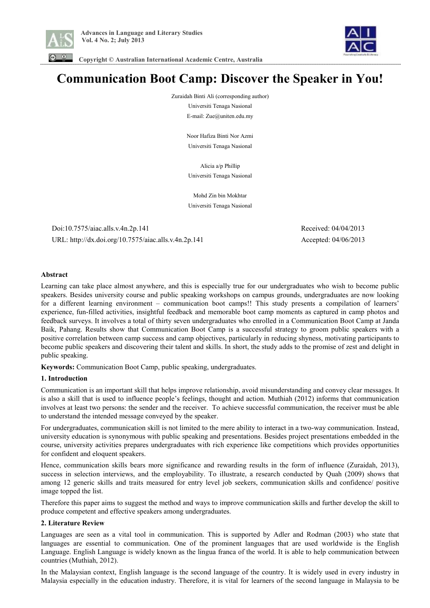



 **Copyright © Australian International Academic Centre, Australia** 

# **Communication Boot Camp: Discover the Speaker in You!**

Zuraidah Binti Ali (corresponding author)

Universiti Tenaga Nasional E-mail: Zue@uniten.edu.my

Noor Hafiza Binti Nor Azmi Universiti Tenaga Nasional

Alicia a/p Phillip Universiti Tenaga Nasional

Mohd Zin bin Mokhtar Universiti Tenaga Nasional

 Doi:10.7575/aiac.alls.v.4n.2p.141 Received: 04/04/2013 URL: http://dx.doi.org/10.7575/aiac.alls.v.4n.2p.141 Accepted: 04/06/2013

## **Abstract**

Learning can take place almost anywhere, and this is especially true for our undergraduates who wish to become public speakers. Besides university course and public speaking workshops on campus grounds, undergraduates are now looking for a different learning environment – communication boot camps!! This study presents a compilation of learners' experience, fun-filled activities, insightful feedback and memorable boot camp moments as captured in camp photos and feedback surveys. It involves a total of thirty seven undergraduates who enrolled in a Communication Boot Camp at Janda Baik, Pahang. Results show that Communication Boot Camp is a successful strategy to groom public speakers with a positive correlation between camp success and camp objectives, particularly in reducing shyness, motivating participants to become public speakers and discovering their talent and skills. In short, the study adds to the promise of zest and delight in public speaking.

**Keywords:** Communication Boot Camp, public speaking, undergraduates.

## **1. Introduction**

Communication is an important skill that helps improve relationship, avoid misunderstanding and convey clear messages. It is also a skill that is used to influence people's feelings, thought and action. Muthiah (2012) informs that communication involves at least two persons: the sender and the receiver. To achieve successful communication, the receiver must be able to understand the intended message conveyed by the speaker.

For undergraduates, communication skill is not limited to the mere ability to interact in a two-way communication. Instead, university education is synonymous with public speaking and presentations. Besides project presentations embedded in the course, university activities prepares undergraduates with rich experience like competitions which provides opportunities for confident and eloquent speakers.

Hence, communication skills bears more significance and rewarding results in the form of influence (Zuraidah, 2013), success in selection interviews, and the employability. To illustrate, a research conducted by Quah (2009) shows that among 12 generic skills and traits measured for entry level job seekers, communication skills and confidence/ positive image topped the list.

Therefore this paper aims to suggest the method and ways to improve communication skills and further develop the skill to produce competent and effective speakers among undergraduates.

## **2. Literature Review**

Languages are seen as a vital tool in communication. This is supported by Adler and Rodman (2003) who state that languages are essential to communication. One of the prominent languages that are used worldwide is the English Language. English Language is widely known as the lingua franca of the world. It is able to help communication between countries (Muthiah, 2012).

In the Malaysian context, English language is the second language of the country. It is widely used in every industry in Malaysia especially in the education industry. Therefore, it is vital for learners of the second language in Malaysia to be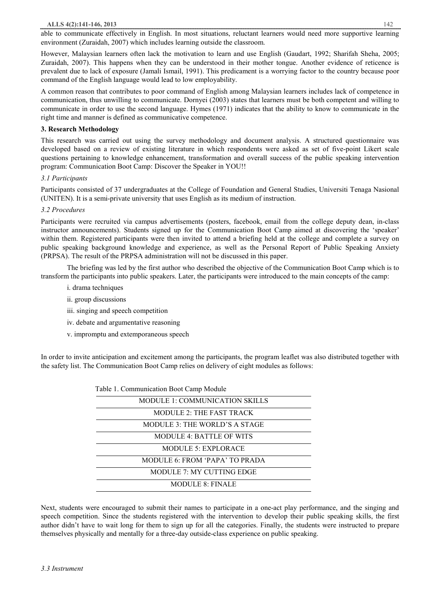able to communicate effectively in English. In most situations, reluctant learners would need more supportive learning environment (Zuraidah, 2007) which includes learning outside the classroom.

However, Malaysian learners often lack the motivation to learn and use English (Gaudart, 1992; Sharifah Sheha, 2005; Zuraidah, 2007). This happens when they can be understood in their mother tongue. Another evidence of reticence is prevalent due to lack of exposure (Jamali Ismail, 1991). This predicament is a worrying factor to the country because poor command of the English language would lead to low employability.

A common reason that contributes to poor command of English among Malaysian learners includes lack of competence in communication, thus unwilling to communicate. Dornyei (2003) states that learners must be both competent and willing to communicate in order to use the second language. Hymes (1971) indicates that the ability to know to communicate in the right time and manner is defined as communicative competence.

# **3. Research Methodology**

This research was carried out using the survey methodology and document analysis. A structured questionnaire was developed based on a review of existing literature in which respondents were asked as set of five-point Likert scale questions pertaining to knowledge enhancement, transformation and overall success of the public speaking intervention program: Communication Boot Camp: Discover the Speaker in YOU!!

# *3.1 Participants*

Participants consisted of 37 undergraduates at the College of Foundation and General Studies, Universiti Tenaga Nasional (UNITEN). It is a semi-private university that uses English as its medium of instruction.

# *3.2 Procedures*

Participants were recruited via campus advertisements (posters, facebook, email from the college deputy dean, in-class instructor announcements). Students signed up for the Communication Boot Camp aimed at discovering the 'speaker' within them. Registered participants were then invited to attend a briefing held at the college and complete a survey on public speaking background knowledge and experience, as well as the Personal Report of Public Speaking Anxiety (PRPSA). The result of the PRPSA administration will not be discussed in this paper.

The briefing was led by the first author who described the objective of the Communication Boot Camp which is to transform the participants into public speakers. Later, the participants were introduced to the main concepts of the camp:

- i. drama techniques
- ii. group discussions
- iii. singing and speech competition
- iv. debate and argumentative reasoning
- v. impromptu and extemporaneous speech

Table 1. Communication Boot Camp Module

In order to invite anticipation and excitement among the participants, the program leaflet was also distributed together with the safety list. The Communication Boot Camp relies on delivery of eight modules as follows:

Next, students were encouraged to submit their names to participate in a one-act play performance, and the singing and speech competition. Since the students registered with the intervention to develop their public speaking skills, the first author didn't have to wait long for them to sign up for all the categories. Finally, the students were instructed to prepare themselves physically and mentally for a three-day outside-class experience on public speaking.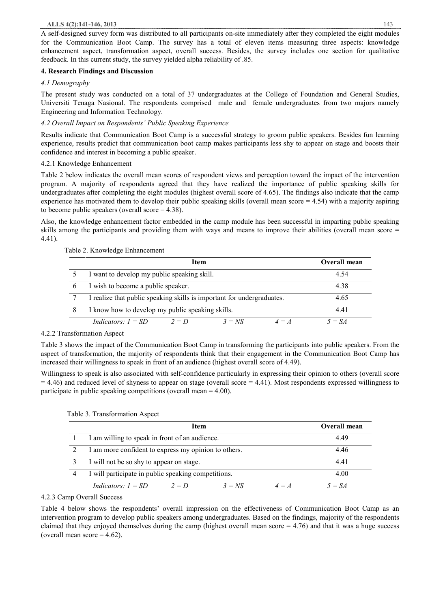A self-designed survey form was distributed to all participants on-site immediately after they completed the eight modules for the Communication Boot Camp. The survey has a total of eleven items measuring three aspects: knowledge enhancement aspect, transformation aspect, overall success. Besides, the survey includes one section for qualitative feedback. In this current study, the survey yielded alpha reliability of .85.

# **4. Research Findings and Discussion**

# *4.1 Demography*

The present study was conducted on a total of 37 undergraduates at the College of Foundation and General Studies, Universiti Tenaga Nasional. The respondents comprised male and female undergraduates from two majors namely Engineering and Information Technology.

# *4.2 Overall Impact on Respondents' Public Speaking Experience*

Results indicate that Communication Boot Camp is a successful strategy to groom public speakers. Besides fun learning experience, results predict that communication boot camp makes participants less shy to appear on stage and boosts their confidence and interest in becoming a public speaker.

# 4.2.1 Knowledge Enhancement

Table 2 below indicates the overall mean scores of respondent views and perception toward the impact of the intervention program. A majority of respondents agreed that they have realized the importance of public speaking skills for undergraduates after completing the eight modules (highest overall score of 4.65). The findings also indicate that the camp experience has motivated them to develop their public speaking skills (overall mean score  $= 4.54$ ) with a majority aspiring to become public speakers (overall score  $= 4.38$ ).

Also, the knowledge enhancement factor embedded in the camp module has been successful in imparting public speaking skills among the participants and providing them with ways and means to improve their abilities (overall mean score = 4.41).

# Table 2. Knowledge Enhancement

|   | Item                                                                   | <b>Overall mean</b> |
|---|------------------------------------------------------------------------|---------------------|
|   | I want to develop my public speaking skill.                            | 4.54                |
| 6 | I wish to become a public speaker.                                     | 4.38                |
|   | I realize that public speaking skills is important for undergraduates. | 4.65                |
| 8 | I know how to develop my public speaking skills.                       | 4.41                |
|   | Indicators: $I = SD$<br>$3 = NS$<br>$2 = D$<br>$\Delta = A$            | $5 = SA$            |

4.2.2 Transformation Aspect

Table 3 shows the impact of the Communication Boot Camp in transforming the participants into public speakers. From the aspect of transformation, the majority of respondents think that their engagement in the Communication Boot Camp has increased their willingness to speak in front of an audience (highest overall score of 4.49).

Willingness to speak is also associated with self-confidence particularly in expressing their opinion to others (overall score  $= 4.46$ ) and reduced level of shyness to appear on stage (overall score  $= 4.41$ ). Most respondents expressed willingness to participate in public speaking competitions (overall mean = 4.00).

|                | Item                                                   | Overall mean |
|----------------|--------------------------------------------------------|--------------|
|                | I am willing to speak in front of an audience.         | 4.49         |
|                | I am more confident to express my opinion to others.   | 4.46         |
|                | I will not be so shy to appear on stage.               | 441          |
| $\overline{4}$ | I will participate in public speaking competitions.    | 4.00         |
|                | Indicators: $I = SD$<br>$3 = NS$<br>$2 = D$<br>$4 = A$ | $5 = SA$     |

Table 3. Transformation Aspect

## 4.2.3 Camp Overall Success

Table 4 below shows the respondents' overall impression on the effectiveness of Communication Boot Camp as an intervention program to develop public speakers among undergraduates. Based on the findings, majority of the respondents claimed that they enjoyed themselves during the camp (highest overall mean score  $= 4.76$ ) and that it was a huge success (overall mean score  $= 4.62$ ).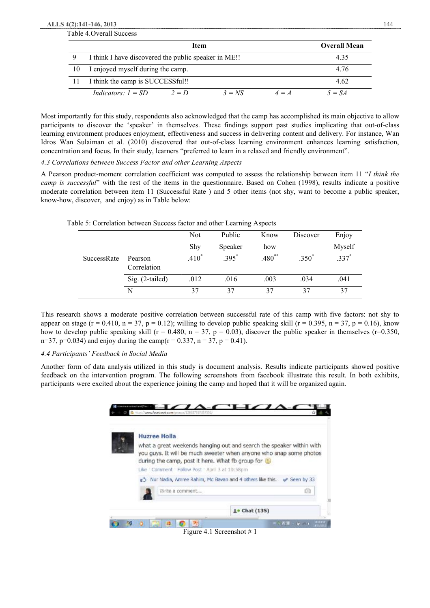#### **ALLS 4(2):141-146, 2013** 144

| Table 4. Overall Success |                                                      |         |                     |         |          |
|--------------------------|------------------------------------------------------|---------|---------------------|---------|----------|
|                          |                                                      |         | <b>Overall Mean</b> |         |          |
|                          | I think I have discovered the public speaker in ME!! |         | 4.35                |         |          |
| 10                       | I enjoyed myself during the camp.                    |         |                     |         | 4.76     |
|                          | I think the camp is SUCCESSful!!                     |         |                     |         | 4.62     |
|                          | Indicators: $I = SD$                                 | $2 = D$ | $3 = NS$            | $4 = A$ | $5 = SA$ |

Most importantly for this study, respondents also acknowledged that the camp has accomplished its main objective to allow participants to discover the 'speaker' in themselves. These findings support past studies implicating that out-of-class learning environment produces enjoyment, effectiveness and success in delivering content and delivery. For instance, Wan Idros Wan Sulaiman et al. (2010) discovered that out-of-class learning environment enhances learning satisfaction, concentration and focus. In their study, learners "preferred to learn in a relaxed and friendly environment".

*4.3 Correlations between Success Factor and other Learning Aspects* 

A Pearson product-moment correlation coefficient was computed to assess the relationship between item 11 "*I think the camp is successful*" with the rest of the items in the questionnaire. Based on Cohen (1998), results indicate a positive moderate correlation between item 11 (Successful Rate ) and 5 other items (not shy, want to become a public speaker, know-how, discover, and enjoy) as in Table below:

| Table 5: Correlation between Success factor and other Learning Aspects |                        |                   |          |          |                |                     |
|------------------------------------------------------------------------|------------------------|-------------------|----------|----------|----------------|---------------------|
|                                                                        |                        | Not               | Public   | Know     | Discover       | Enjoy               |
|                                                                        |                        | Shy               | Speaker  | how      |                | Myself              |
| <b>SuccessRate</b>                                                     | Pearson<br>Correlation | .410 <sup>°</sup> | $.395^*$ | $.480**$ | $.350^{\circ}$ | $.337$ <sup>*</sup> |
|                                                                        | $Sig. (2-tailed)$      | .012              | .016     | .003     | .034           | .041                |
|                                                                        | N                      | 37                | 37       | 37       | 37             | 37                  |

This research shows a moderate positive correlation between successful rate of this camp with five factors: not shy to appear on stage (r = 0.410, n = 37, p = 0.12); willing to develop public speaking skill (r = 0.395, n = 37, p = 0.16), know how to develop public speaking skill (r = 0.480, n = 37, p = 0.03), discover the public speaker in themselves (r=0.350, n=37, p=0.034) and enjoy during the camp( $r = 0.337$ , n = 37, p = 0.41).

# *4.4 Participants' Feedback in Social Media*

Another form of data analysis utilized in this study is document analysis. Results indicate participants showed positive feedback on the intervention program. The following screenshots from facebook illustrate this result. In both exhibits, participants were excited about the experience joining the camp and hoped that it will be organized again.



Figure 4.1 Screenshot # 1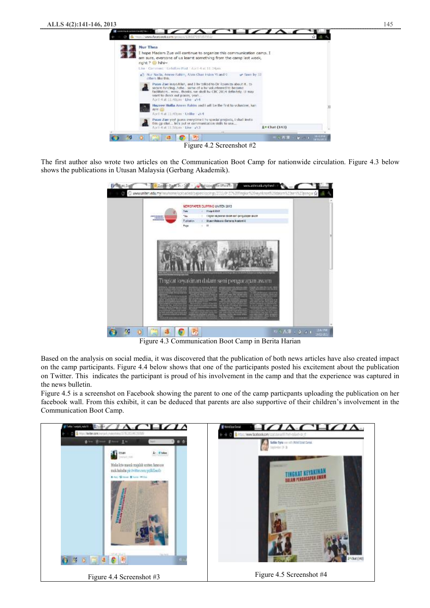

Figure 4.2 Screenshot #2

The first author also wrote two articles on the Communication Boot Camp for nationwide circulation. Figure 4.3 below shows the publications in Utusan Malaysia (Gerbang Akademik).

| e | www.anitestadurey/need iii)<br>C www.inter.edu.my/newhome/up/paded/paperclipping/2013/012/15201fmpkar%20erysknan%20datem%20er1%20pengia sk<br>NEWSPAPER CLIPPING UNITEN 2013<br><b>Flash 300</b><br>Tube                                                        |                                                                                                                   |
|---|-----------------------------------------------------------------------------------------------------------------------------------------------------------------------------------------------------------------------------------------------------------------|-------------------------------------------------------------------------------------------------------------------|
|   | I Kolor keyskilde dealt sen je noublish avail<br><b>Tike</b><br><b>COMMERCIAL</b><br>1009000<br><b>Schools and Artists</b><br>Publication<br>Utusen Malaysia (Gerbang Avademie)<br>$\mathbf{u}$<br>Figs<br>٠                                                    |                                                                                                                   |
|   |                                                                                                                                                                                                                                                                 |                                                                                                                   |
|   | Tingkat keyakinan dalam seni pengucapan awam<br><b><i><u>School Franchistory</u></i></b><br><b><i>Continued by Farmer</i></b><br>any is reduced a property to the first of<br><b>Property State</b><br>all of the fact of the<br><b>COLO</b><br><b>PERMITTE</b> |                                                                                                                   |
| ъ | $P_2$                                                                                                                                                                                                                                                           | SIA/IM<br>1811/ai:<br>$\mathbb{Q} \times \mathbb{A} \mathcal{R} = \mathbb{R} \times \mathbb{Q} \times \mathbb{R}$ |

Figure 4.3 Communication Boot Camp in Berita Harian

Based on the analysis on social media, it was discovered that the publication of both news articles have also created impact on the camp participants. Figure 4.4 below shows that one of the participants posted his excitement about the publication on Twitter. This indicates the participant is proud of his involvement in the camp and that the experience was captured in the news bulletin.

Figure 4.5 is a screenshot on Facebook showing the parent to one of the camp particpants uploading the publication on her facebook wall. From this exhibit, it can be deduced that parents are also supportive of their children's involvement in the Communication Boot Camp.